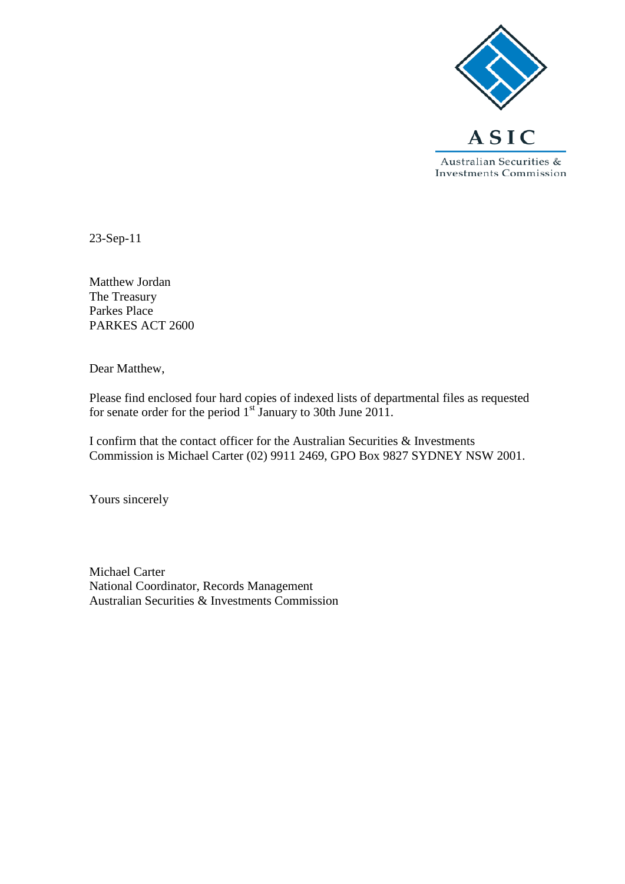

23-Sep-11

Matthew Jordan The Treasury Parkes Place PARKES ACT 2600

Dear Matthew,

Please find enclosed four hard copies of indexed lists of departmental files as requested for senate order for the period 1<sup>st</sup> January to 30th June 2011.

I confirm that the contact officer for the Australian Securities & Investments Commission is Michael Carter (02) 9911 2469, GPO Box 9827 SYDNEY NSW 2001.

Yours sincerely

Michael Carter National Coordinator, Records Management Australian Securities & Investments Commission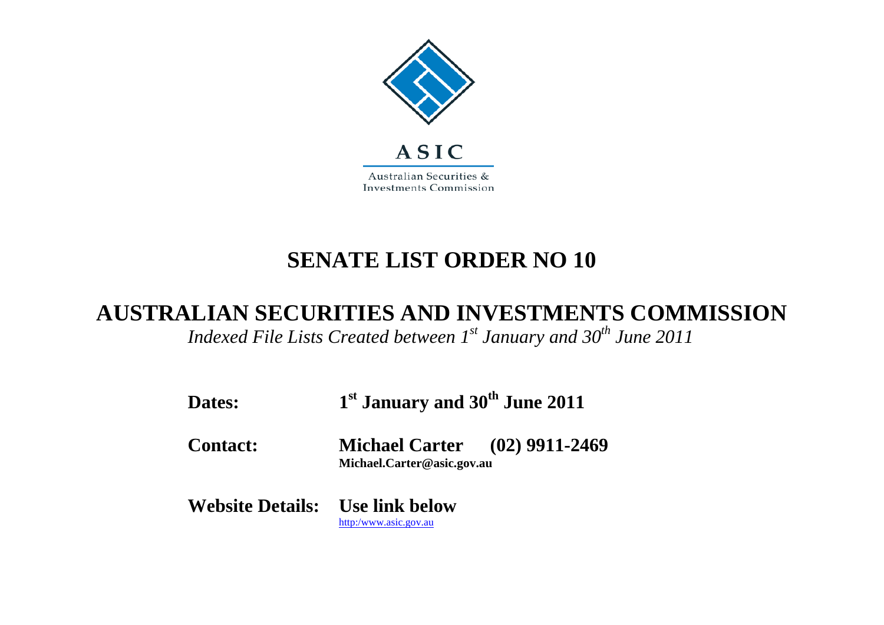

## **SENATE LIST ORDER NO 10**

## **AUSTRALIAN SECURITIES AND INVESTMENTS COMMISSION**

*Indexed File Lists Created between 1st January and 30th June 2011*

| Dates:                                 | 1 <sup>st</sup> January and 30 <sup>th</sup> June 2011             |  |
|----------------------------------------|--------------------------------------------------------------------|--|
| <b>Contact:</b>                        | <b>Michael Carter</b> (02) 9911-2469<br>Michael.Carter@asic.gov.au |  |
| <b>Website Details:</b> Use link below | http:/www.asic.gov.au                                              |  |